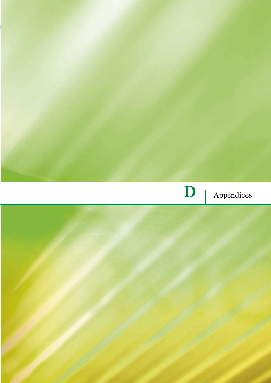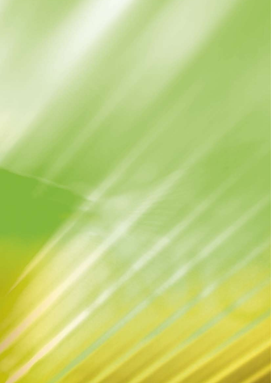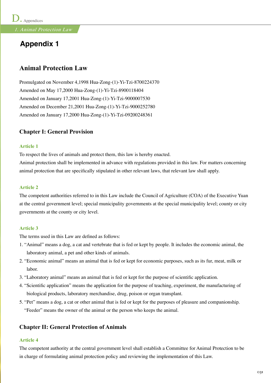# **Appendix 1**

## **Animal Protection Law**

Promulgated on November 4,1998 Hua-Zong-(1)-Yi-Tzi-8700224370 Amended on May 17,2000 Hua-Zong-(1)-Yi-Tzi-8900118404 Amended on January 17,2001 Hua-Zong-(1)-Yi-Tzi-9000007530 Amended on December 21,2001 Hua-Zong-(1)-Yi-Tzi-9000252780 Amended on January 17,2000 Hua-Zong-(1)-Yi-Tzi-09200248361

### **Chapter I: General Provision**

### **Article 1**

To respect the lives of animals and protect them, this law is hereby enacted.

Animal protection shall be implemented in advance with regulations provided in this law. For matters concerning animal protection that are specifically stipulated in other relevant laws, that relevant law shall apply.

### **Article 2**

The competent authorities referred to in this Law include the Council of Agriculture (COA) of the Executive Yuan at the central government level; special municipality governments at the special municipality level; county or city governments at the county or city level.

### **Article 3**

The terms used in this Law are defined as follows:

- 1. "Animal" means a dog, a cat and vertebrate that is fed or kept by people. It includes the economic animal, the laboratory animal, a pet and other kinds of animals.
- 2. "Economic animal" means an animal that is fed or kept for economic purposes, such as its fur, meat, milk or labor.
- 3. "Laboratory animal" means an animal that is fed or kept for the purpose of scientific application.
- 4. "Scientific application" means the application for the purpose of teaching, experiment, the manufacturing of biological products, laboratory merchandise, drug, poison or organ transplant.
- 5. "Pet" means a dog, a cat or other animal that is fed or kept for the purposes of pleasure and companionship. "Feeder" means the owner of the animal or the person who keeps the animal.

### **Chapter II: General Protection of Animals**

### **Article 4**

The competent authority at the central government level shall establish a Committee for Animal Protection to be in charge of formulating animal protection policy and reviewing the implementation of this Law.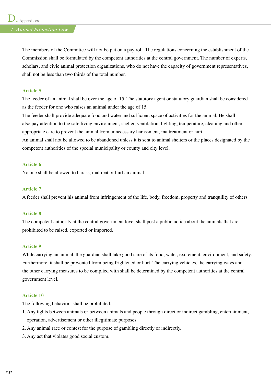The members of the Committee will not be put on a pay roll. The regulations concerning the establishment of the Commission shall be formulated by the competent authorities at the central government. The number of experts, scholars, and civic animal protection organizations, who do not have the capacity of government representatives, shall not be less than two thirds of the total number.

### **Article 5**

The feeder of an animal shall be over the age of 15. The statutory agent or statutory guardian shall be considered as the feeder for one who raises an animal under the age of 15.

The feeder shall provide adequate food and water and sufficient space of activities for the animal. He shall also pay attention to the safe living environment, shelter, ventilation, lighting, temperature, cleaning and other appropriate care to prevent the animal from unnecessary harassment, maltreatment or hurt.

An animal shall not be allowed to be abandoned unless it is sent to animal shelters or the places designated by the competent authorities of the special municipality or county and city level.

### **Article 6**

No one shall be allowed to harass, maltreat or hurt an animal.

### **Article 7**

A feeder shall prevent his animal from infringement of the life, body, freedom, property and tranquility of others.

### **Article 8**

The competent authority at the central government level shall post a public notice about the animals that are prohibited to be raised, exported or imported.

### **Article 9**

While carrying an animal, the guardian shall take good care of its food, water, excrement, environment, and safety. Furthermore, it shall be prevented from being frightened or hurt. The carrying vehicles, the carrying ways and the other carrying measures to be complied with shall be determined by the competent authorities at the central government level.

### **Article 10**

The following behaviors shall be prohibited:

- 1. Any fights between animals or between animals and people through direct or indirect gambling, entertainment, operation, advertisement or other illegitimate purposes.
- 2. Any animal race or contest for the purpose of gambling directly or indirectly.
- 3. Any act that violates good social custom.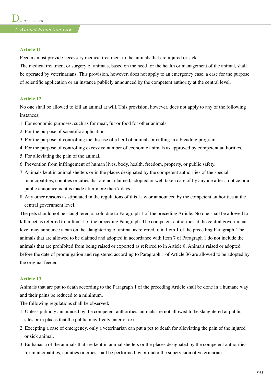### **Article 11**

Feeders must provide necessary medical treatment to the animals that are injured or sick.

The medical treatment or surgery of animals, based on the need for the health or management of the animal, shall be operated by veterinarians. This provision, however, does not apply to an emergency case, a case for the purpose of scientific application or an instance publicly announced by the competent authority at the central level.

### **Article 12**

No one shall be allowed to kill an animal at will. This provision, however, does not apply to any of the following instances:

- 1. For economic purposes, such as for meat, fur or food for other animals.
- 2. For the purpose of scientific application.
- 3. For the purpose of controlling the disease of a herd of animals or culling in a breading program.
- 4. For the purpose of controlling excessive number of economic animals as approved by competent authorities.
- 5. For alleviating the pain of the animal.
- 6. Prevention from infringement of human lives, body, health, freedom, property, or public safety.
- 7. Animals kept in animal shelters or in the places designated by the competent authorities of the special municipalities, counties or cities that are not claimed, adopted or well taken care of by anyone after a notice or a public announcement is made after more than 7 days.
- 8. Any other reasons as stipulated in the regulations of this Law or announced by the competent authorities at the central government level.

The pets should not be slaughtered or sold due to Paragraph 1 of the preceding Article. No one shall be allowed to kill a pet as referred to in Item 1 of the preceding Paragraph. The competent authorities at the central government level may announce a ban on the slaughtering of animal as referred to in Item 1 of the preceding Paragraph. The animals that are allowed to be claimed and adopted in accordance with Item 7 of Paragraph 1 do not include the animals that are prohibited from being raised or exported as referred to in Article 8. Animals raised or adopted before the date of promulgation and registered according to Paragraph 1 of Article 36 are allowed to be adopted by the original feeder.

### **Article 13**

Animals that are put to death according to the Paragraph 1 of the preceding Article shall be done in a humane way and their pains be reduced to a minimum.

The following regulations shall be observed:

- 1. Unless publicly announced by the competent authorities, animals are not allowed to be slaughtered at public sites or in places that the public may freely enter or exit.
- 2. Excepting a case of emergency, only a veterinarian can put a pet to death for alleviating the pain of the injured or sick animal.
- 3. Euthanasia of the animals that are kept in animal shelters or the places designated by the competent authorities for municipalities, counties or cities shall be performed by or under the supervision of veterinarian.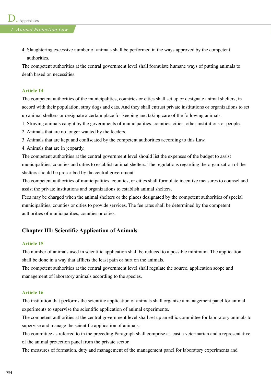4. Slaughtering excessive number of animals shall be performed in the ways approved by the competent authorities.

The competent authorities at the central government level shall formulate humane ways of putting animals to death based on necessities.

### **Article 14**

The competent authorities of the municipalities, countries or cities shall set up or designate animal shelters, in accord with their population, stray dogs and cats. And they shall entrust private institutions or organizations to set up animal shelters or designate a certain place for keeping and taking care of the following animals.

- 1. Straying animals caught by the governments of municipalities, counties, cities, other institutions or people.
- 2. Animals that are no longer wanted by the feeders.
- 3. Animals that are kept and confiscated by the competent authorities according to this Law.
- 4. Animals that are in jeopardy.

The competent authorities at the central government level should list the expenses of the budget to assist municipalities, counties and cities to establish animal shelters. The regulations regarding the organization of the shelters should be prescribed by the central government.

The competent authorities of municipalities, counties, or cities shall formulate incentive measures to counsel and assist the private institutions and organizations to establish animal shelters.

Fees may be charged when the animal shelters or the places designated by the competent authorities of special municipalities, counties or cities to provide services. The fee rates shall be determined by the competent authorities of municipalities, counties or cities.

### **Chapter III: Scientific Application of Animals**

### **Article 15**

The number of animals used in scientific application shall be reduced to a possible minimum. The application shall be done in a way that afflicts the least pain or hurt on the animals.

The competent authorities at the central government level shall regulate the source, application scope and management of laboratory animals according to the species.

### **Article 16**

The institution that performs the scientific application of animals shall organize a management panel for animal experiments to supervise the scientific application of animal experiments.

The competent authorities at the central government level shall set up an ethic committee for laboratory animals to supervise and manage the scientific application of animals.

The committee as referred to in the preceding Paragraph shall comprise at least a veterinarian and a representative of the animal protection panel from the private sector.

The measures of formation, duty and management of the management panel for laboratory experiments and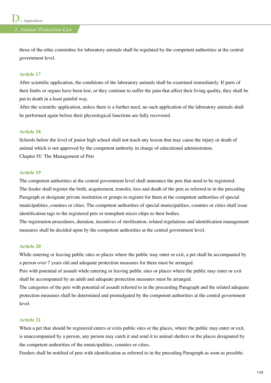those of the ethic committee for laboratory animals shall be regulated by the competent authorities at the central government level.

### **Article 17**

After scientific application, the conditions of the laboratory animals shall be examined immediately. If parts of their limbs or organs have been lost, or they continue to suffer the pain that affect their living quality, they shall be put to death in a least painful way.

After the scientific application, unless there is a further need, no such application of the laboratory animals shall be performed again before their physiological functions are fully recovered.

### **Article 18**

Schools below the level of junior high school shall not teach any lesson that may cause the injury or death of animal which is not approved by the competent authority in charge of educational administraton. Chapter IV: The Management of Pets

### **Article 19**

The competent authorities at the central government level shall announce the pets that need to be registered. The feeder shall register the birth, acquirement, transfer, loss and death of the pets as referred to in the preceding Paragraph or designate private institution or groups to register for them at the competent authorities of special municipalities, counties or cities. The competent authorities of special municipalities, counties or cities shall issue identification tags to the registered pets or transplant micro chips to their bodies.

The registration procedures, duration, incentives of sterilization, related regulations and identification management measures shall be decided upon by the competent authorities at the central government level.

### **Article 20**

While entering or leaving public sites or places where the public may enter or exit, a pet shall be accompanied by a person over 7 years old and adequate protection measures for them must be arranged.

Pets with potential of assault while entering or leaving public sites or places where the public may enter or exit shall be accompanied by an adult and adequate protection measures must be arranged.

The categories of the pets with potential of assault referred to in the proceeding Paragraph and the related adequate protection measures shall be determined and promulgated by the competent authorities at the central government level.

### **Article 21**

When a pet that should be registered enters or exits public sites or the places, where the public may enter or exit, is unaccompanied by a person, any person may catch it and send it to animal shelters or the places designated by the competent authorities of the municipalities, counties or cities.

Feeders shall be notified of pets with identification as referred to in the preceding Paragraph as soon as possible.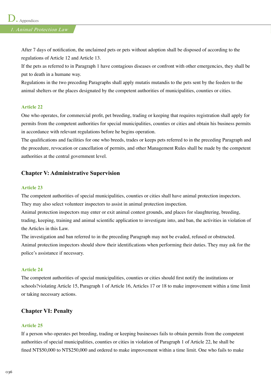After 7 days of notification, the unclaimed pets or pets without adoption shall be disposed of according to the regulations of Article 12 and Article 13.

If the pets as referred to in Paragraph 1 have contagious diseases or confront with other emergencies, they shall be put to death in a humane way.

Regulations in the two preceding Paragraphs shall apply mutatis mutandis to the pets sent by the feeders to the animal shelters or the places designated by the competent authorities of municipalities, counties or cities.

### **Article 22**

One who operates, for commercial profit, pet breeding, trading or keeping that requires registration shall apply for permits from the competent authorities for special municipalities, counties or cities and obtain his business permits in accordance with relevant regulations before he begins operation.

The qualifications and facilities for one who breeds, trades or keeps pets referred to in the preceding Paragraph and the procedure, revocation or cancellation of permits, and other Management Rules shall be made by the competent authorities at the central government level.

### **Chapter V: Administrative Supervision**

### **Article 23**

The competent authorities of special municipalities, counties or cities shall have animal protection inspectors. They may also select volunteer inspectors to assist in animal protection inspection.

Animal protection inspectors may enter or exit animal contest grounds, and places for slaughtering, breeding, trading, keeping, training and animal scientific application to investigate into, and ban, the activities in violation of the Articles in this Law.

The investigation and ban referred to in the preceding Paragraph may not be evaded, refused or obstructed. Animal protection inspectors should show their identifications when performing their duties. They may ask for the police's assistance if necessary.

### **Article 24**

The competent authorities of special municipalities, counties or cities should first notify the institutions or schools?violating Article 15, Paragraph 1 of Article 16, Articles 17 or 18 to make improvement within a time limit or taking necessary actions.

### **Chapter VI: Penalty**

### **Article 25**

If a person who operates pet breeding, trading or keeping businesses fails to obtain permits from the competent authorities of special municipalities, counties or cities in violation of Paragraph 1 of Article 22, he shall be fined NT\$50,000 to NT\$250,000 and ordered to make improvement within a time limit. One who fails to make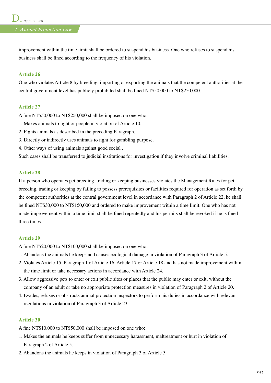improvement within the time limit shall be ordered to suspend his business. One who refuses to suspend his business shall be fined according to the frequency of his violation.

### **Article 26**

One who violates Article 8 by breeding, importing or exporting the animals that the competent authorities at the central government level has publicly prohibited shall be fined NT\$50,000 to NT\$250,000.

### **Article 27**

A fine NT\$50,000 to NT\$250,000 shall be imposed on one who:

- 1. Makes animals to fight or people in violation of Article 10.
- 2. Fights animals as described in the preceding Paragraph.
- 3. Directly or indirectly uses animals to fight for gambling purpose.
- 4. Other ways of using animals against good social .

Such cases shall be transferred to judicial institutions for investigation if they involve criminal liabilities.

### **Article 28**

If a person who operates pet breeding, trading or keeping businesses violates the Management Rules for pet breeding, trading or keeping by failing to possess prerequisites or facilities required for operation as set forth by the competent authorities at the central government level in accordance with Paragraph 2 of Article 22, he shall be fined NT\$30,000 to NT\$150,000 and ordered to make improvement within a time limit. One who has not made improvement within a time limit shall be fined repeatedly and his permits shall be revoked if he is fined three times.

### **Article 29**

A fine NT\$20,000 to NT\$100,000 shall be imposed on one who:

- 1. Abandons the animals he keeps and causes ecological damage in violation of Paragraph 3 of Article 5.
- 2. Violates Article 15, Paragraph 1 of Article 16, Article 17 or Article 18 and has not made improvement within the time limit or take necessary actions in accordance with Article 24.
- 3. Allow aggressive pets to enter or exit public sites or places that the public may enter or exit, without the company of an adult or take no appropriate protection measures in violation of Paragraph 2 of Article 20.
- 4. Evades, refuses or obstructs animal protection inspectors to perform his duties in accordance with relevant regulations in violation of Paragraph 3 of Article 23.

### **Article 30**

A fine NT\$10,000 to NT\$50,000 shall be imposed on one who:

- 1. Makes the animals he keeps suffer from unnecessary harassment, maltreatment or hurt in violation of Paragraph 2 of Article 5.
- 2. Abandons the animals he keeps in violation of Paragraph 3 of Article 5.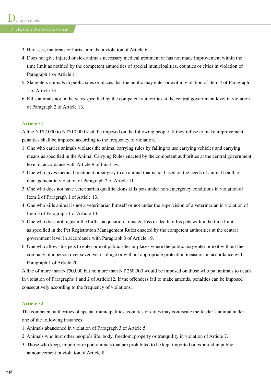- 1. Animal Protection Law
	- 3. Harasses, maltreats or hurts animals in violation of Article 6.
	- 4. Does not give injured or sick animals necessary medical treatment or has not made improvement within the time limit as notified by the competent authorities of special municipalities, counties or cities in violation of Paragraph 1 or Article 11.
	- 5. Slaughters animals in public sites or places that the public may enter or exit in violation of Item 4 of Paragraph 1 of Article 13.
	- 6. Kills animals not in the ways specified by the competent authorities at the central government level in violation of Paragraph 2 of Article 13.

### **Article 31**

A fine NT\$2,000 to NT\$10,000 shall be imposed on the following people. If they refuse to make improvement, penalties shall be imposed according to the frequency of violation.

- 1. One who carries animals violates the animal carrying rules by failing to use carrying vehicles and carrying means as specified in the Animal Carrying Rules enacted by the competent authorities at the central government level in accordance with Article 9 of this Law.
- 2. One who gives medical treatment or surgery to an animal that is not based on the needs of animal health or management in violation of Paragraph 2 of Article 11.
- 3. One who does not have veterinarian qualifications kills pets under non-emergency conditions in violation of Item 2 of Paragraph 1 of Article 13.
- 4. One who kills animal is not a veterinarian himself or not under the supervision of a veterinarian in violation of Item 3 of Paragraph 1 of Article 13.
- 5. One who does not register the births, acquisition, transfer, loss or death of his pets within the time limit as specified in the Pet Registration Management Rules enacted by the competent authorities at the central government level in accordance with Paragraph 3 of Article 19.
- 6. One who allows his pets to enter or exit public sites or places where the public may enter or exit without the company of a person over seven years of age or without appropriate protection measures in accordance with Paragraph 1 of Article 20.

A fine of more than NT50,000 but no more than NT 250,000 would be imposed on those who put animals to death in violation of Paragraphs 1 and 2 of Article12. If the offenders fail to make amends, penalties can be imposed consecutively according to the frequency of violations.

### **Article 32**

The competent authorities of special municipalities, counties or cities may confiscate the feeder's animal under one of the following instances:

- 1. Animals abandoned in violation of Paragraph 3 of Article 5.
- 2. Animals who hurt other people's life, body, freedom, property or tranquility in violation of Article 7.
- 3. Those who keep, import or export animals that are prohibited to be kept imported or exported in public announcement in violation of Article 8.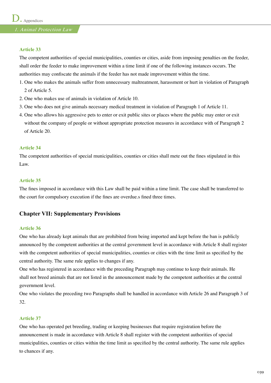### **Article 33**

The competent authorities of special municipalities, counties or cities, aside from imposing penalties on the feeder, shall order the feeder to make improvement within a time limit if one of the following instances occurs. The authorities may confiscate the animals if the feeder has not made improvement within the time.

- 1. One who makes the animals suffer from unnecessary maltreatment, harassment or hurt in violation of Paragraph 2 of Article 5.
- 2. One who makes use of animals in violation of Article 10.
- 3. One who does not give animals necessary medical treatment in violation of Paragraph 1 of Article 11.
- 4. One who allows his aggressive pets to enter or exit public sites or places where the public may enter or exit without the company of people or without appropriate protection measures in accordance with of Paragraph 2 of Article 20.

### **Article 34**

The competent authorities of special municipalities, counties or cities shall mete out the fines stipulated in this Law.

### **Article 35**

The fines imposed in accordance with this Law shall be paid within a time limit. The case shall be transferred to the court for compulsory execution if the fines are overdue.s fined three times.

### **Chapter VII: Supplementary Provisions**

### **Article 36**

One who has already kept animals that are prohibited from being imported and kept before the ban is publicly announced by the competent authorities at the central government level in accordance with Article 8 shall register with the competent authorities of special municipalities, counties or cities with the time limit as specified by the central authority. The same rule applies to changes if any.

One who has registered in accordance with the preceding Paragraph may continue to keep their animals. He shall not breed animals that are not listed in the announcement made by the competent authorities at the central government level.

One who violates the preceding two Paragraphs shall be handled in accordance with Article 26 and Paragraph 3 of 32.

### **Article 37**

One who has operated pet breeding, trading or keeping businesses that require registration before the announcement is made in accordance with Article 8 shall register with the competent authorities of special municipalities, counties or cities within the time limit as specified by the central authority. The same rule applies to chances if any.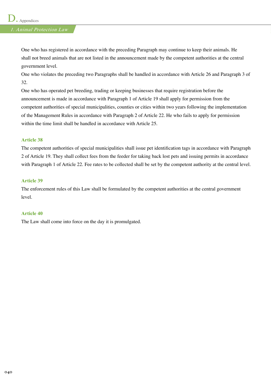One who has registered in accordance with the preceding Paragraph may continue to keep their animals. He shall not breed animals that are not listed in the announcement made by the competent authorities at the central government level.

One who violates the preceding two Paragraphs shall be handled in accordance with Article 26 and Paragraph 3 of 32.

One who has operated pet breeding, trading or keeping businesses that require registration before the announcement is made in accordance with Paragraph 1 of Article 19 shall apply for permission from the competent authorities of special municipalities, counties or cities within two years following the implementation of the Management Rules in accordance with Paragraph 2 of Article 22. He who fails to apply for permission within the time limit shall be handled in accordance with Article 25.

### **Article 38**

The competent authorities of special municipalities shall issue pet identification tags in accordance with Paragraph 2 of Article 19. They shall collect fees from the feeder for taking back lost pets and issuing permits in accordance with Paragraph 1 of Article 22. Fee rates to be collected shall be set by the competent authority at the central level.

### **Article 39**

The enforcement rules of this Law shall be formulated by the competent authorities at the central government level.

### **Article 40**

The Law shall come into force on the day it is promulgated.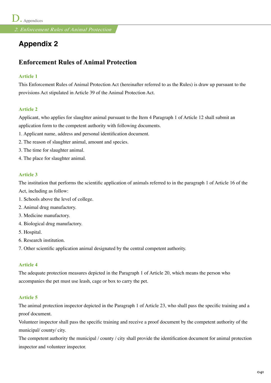# **Appendix 2**

### **Enforcement Rules of Animal Protection**

### **Article 1**

This Enforcement Rules of Animal Protection Act (hereinafter referred to as the Rules) is draw up pursuant to the provisions Act stipulated in Article 39 of the Animal Protection Act.

### **Article 2**

Applicant, who applies for slaughter animal pursuant to the Item 4 Paragraph 1 of Article 12 shall submit an application form to the competent authority with following documents.

- 1. Applicant name, address and personal identification document.
- 2. The reason of slaughter animal, amount and species.
- 3. The time for slaughter animal.
- 4. The place for slaughter animal.

### **Article 3**

The institution that performs the scientific application of animals referred to in the paragraph 1 of Article 16 of the Act, including as follow:

- 1. Schools above the level of college.
- 2. Animal drug manufactory.
- 3. Medicine manufactory.
- 4. Biological drug manufactory.
- 5. Hospital.
- 6. Research institution.
- 7. Other scientific application animal designated by the central competent authority.

### **Article 4**

The adequate protection measures depicted in the Paragraph 1 of Article 20, which means the person who accompanies the pet must use leash, cage or box to carry the pet.

### **Article 5**

The animal protection inspector depicted in the Paragraph 1 of Article 23, who shall pass the specific training and a proof document.

Volunteer inspector shall pass the specific training and receive a proof document by the competent authority of the municipal/ county/ city.

The competent authority the municipal / county / city shall provide the identification document for animal protection inspector and volunteer inspector.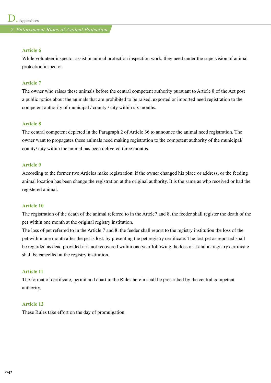### 2. Enforcement Rules of Animal Protection

### **Article 6**

While volunteer inspector assist in animal protection inspection work, they need under the supervision of animal protection inspector.

#### **Article 7**

The owner who raises these animals before the central competent authority pursuant to Article 8 of the Act post a public notice about the animals that are prohibited to be raised, exported or imported need registration to the competent authority of municipal / county / city within six months.

#### **Article 8**

The central competent depicted in the Paragraph 2 of Article 36 to announce the animal need registration. The owner want to propagates these animals need making registration to the competent authority of the municipal/ county/ city within the animal has been delivered three months.

#### **Article 9**

According to the former two Articles make registration, if the owner changed his place or address, or the feeding animal location has been change the registration at the original authority. It is the same as who received or had the registered animal.

#### **Article 10**

The registration of the death of the animal referred to in the Artcle7 and 8, the feeder shall register the death of the pet within one month at the original registry institution.

The loss of pet referred to in the Article 7 and 8, the feeder shall report to the registry institution the loss of the pet within one month after the pet is lost, by presenting the pet registry certificate. The lost pet as reported shall be regarded as dead provided it is not recovered within one year following the loss of it and its registry certificate shall be cancelled at the registry institution.

### **Article 11**

The format of certificate, permit and chart in the Rules herein shall be prescribed by the central competent authority.

#### **Article 12**

These Rules take effort on the day of promulgation.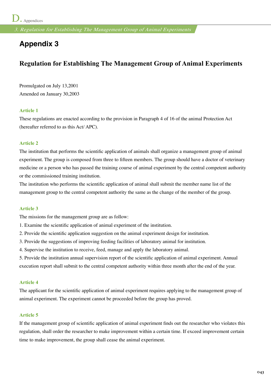3. Regulation for Establishing The Management Group of Animal Experiments

# **Appendix 3**

### **Regulation for Establishing The Management Group of Animal Experiments**

Promulgated on July 13,2001 Amended on January 30,2003

### **Article 1**

These regulations are enacted according to the provision in Paragraph 4 of 16 of the animal Protection Act (hereafter referred to as this Act/ APC).

### **Article 2**

The institution that performs the scientific application of animals shall organize a management group of animal experiment. The group is composed from three to fifteen members. The group should have a doctor of veterinary medicine or a person who has passed the training course of animal experiment by the central competent authority or the commissioned training institution.

The institution who performs the scientific application of animal shall submit the member name list of the management group to the central competent authority the same as the change of the member of the group.

### **Article 3**

The missions for the management group are as follow:

- 1. Examine the scientific application of animal experiment of the institution.
- 2. Provide the scientific application suggestion on the animal experiment design for institution.
- 3. Provide the suggestions of improving feeding facilities of laboratory animal for institution.
- 4. Supervise the institution to receive, feed, manage and apply the laboratory animal.
- 5. Provide the institution annual supervision report of the scientific application of animal experiment. Annual execution report shall submit to the central competent authority within three month after the end of the year.

### **Article 4**

The applicant for the scientific application of animal experiment requires applying to the management group of animal experiment. The experiment cannot be proceeded before the group has proved.

### **Article 5**

If the management group of scientific application of animal experiment finds out the researcher who violates this regulation, shall order the researcher to make improvement within a certain time. If exceed improvement certain time to make improvement, the group shall cease the animal experiment.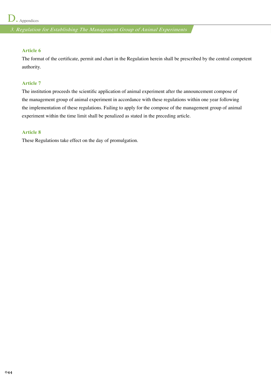3. Regulation for Establishing The Management Group of Animal Experiments

### **Article 6**

The format of the certificate, permit and chart in the Regulation herein shall be prescribed by the central competent authority.

### **Article 7**

The institution proceeds the scientific application of animal experiment after the announcement compose of the management group of animal experiment in accordance with these regulations within one year following the implementation of these regulations. Failing to apply for the compose of the management group of animal experiment within the time limit shall be penalized as stated in the preceding article.

### **Article 8**

These Regulations take effect on the day of promulgation.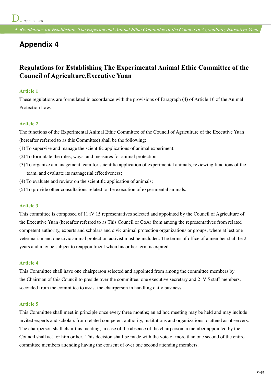4. Regulations for Establishing The Experimental Animal Ethic Committee of the Council of Agriculture, Executive Yuan

# **Appendix 4**

### **Regulations for Establishing The Experimental Animal Ethic Committee of the Council of Agriculture,Executive Yuan**

### **Article 1**

These regulations are formulated in accordance with the provisions of Paragraph (4) of Article 16 of the Animal Protection Law.

### **Article 2**

The functions of the Experimental Animal Ethic Committee of the Council of Agriculture of the Executive Yuan (hereafter referred to as this Committee) shall be the following:

- (1) To supervise and manage the scientific applications of animal experiment;
- (2) To formulate the rules, ways, and measures for animal protection
- (3) To organize a management team for scientific application of experimental animals, reviewing functions of the team, and evaluate its managerial effectiveness;
- (4) To evaluate and review on the scientific application of animals;
- (5) To provide other consultations related to the execution of experimental animals.

### **Article 3**

This committee is composed of 11 iV 15 representatives selected and appointed by the Council of Agriculture of the Executive Yuan (hereafter referred to as This Council or CoA) from among the representatives from related competent authority, experts and scholars and civic animal protection organizations or groups, where at lest one veterinarian and one civic animal protection activist must be included. The terms of office of a member shall be 2 years and may be subject to reappointment when his or her term is expired.

### **Article 4**

This Committee shall have one chairperson selected and appointed from among the committee members by the Chairman of this Council to preside over the committee; one executive secretary and 2 iV 5 staff members, seconded from the committee to assist the chairperson in handling daily business.

### **Article 5**

This Committee shall meet in principle once every three months; an ad hoc meeting may be held and may include invited experts and scholars from related competent authority, institutions and organizations to attend as observers. The chairperson shall chair this meeting; in case of the absence of the chairperson, a member appointed by the Council shall act for him or her. This decision shall be made with the vote of more than one second of the entire committee members attending having the consent of over one second attending members.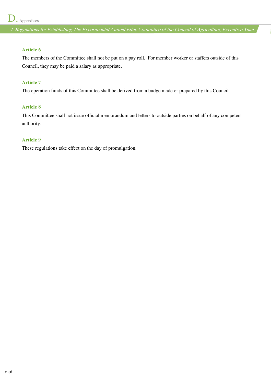4. Regulations for Establishing The Experimental Animal Ethic Committee of the Council of Agriculture, Executive Yuan

### **Article 6**

The members of the Committee shall not be put on a pay roll. For member worker or staffers outside of this Council, they may be paid a salary as appropriate.

### **Article 7**

The operation funds of this Committee shall be derived from a budge made or prepared by this Council.

### **Article 8**

This Committee shall not issue official memorandum and letters to outside parties on behalf of any competent authority.

### **Article 9**

These regulations take effect on the day of promulgation.